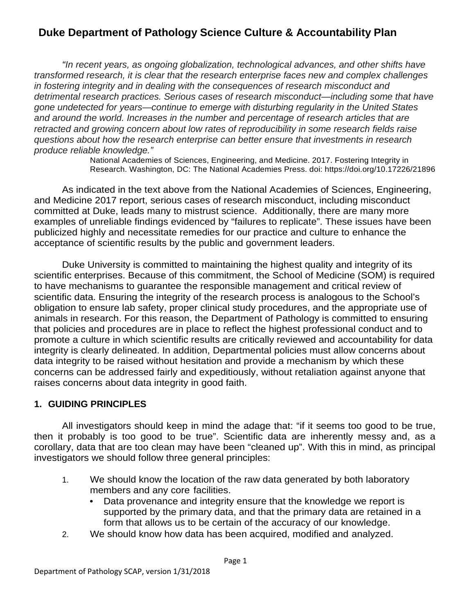*"In recent years, as ongoing globalization, technological advances, and other shifts have transformed research, it is clear that the research enterprise faces new and complex challenges in fostering integrity and in dealing with the consequences of research misconduct and detrimental research practices. Serious cases of research misconduct—including some that have gone undetected for years—continue to emerge with disturbing regularity in the United States and around the world. Increases in the number and percentage of research articles that are retracted and growing concern about low rates of reproducibility in some research fields raise questions about how the research enterprise can better ensure that investments in research produce reliable knowledge."*

National Academies of Sciences, Engineering, and Medicine. 2017. Fostering Integrity in Research. Washington, DC: The National Academies Press. doi: https://doi.org/10.17226/21896

As indicated in the text above from the National Academies of Sciences, Engineering, and Medicine 2017 report, serious cases of research misconduct, including misconduct committed at Duke, leads many to mistrust science. Additionally, there are many more examples of unreliable findings evidenced by "failures to replicate". These issues have been publicized highly and necessitate remedies for our practice and culture to enhance the acceptance of scientific results by the public and government leaders.

Duke University is committed to maintaining the highest quality and integrity of its scientific enterprises. Because of this commitment, the School of Medicine (SOM) is required to have mechanisms to guarantee the responsible management and critical review of scientific data. Ensuring the integrity of the research process is analogous to the School's obligation to ensure lab safety, proper clinical study procedures, and the appropriate use of animals in research. For this reason, the Department of Pathology is committed to ensuring that policies and procedures are in place to reflect the highest professional conduct and to promote a culture in which scientific results are critically reviewed and accountability for data integrity is clearly delineated. In addition, Departmental policies must allow concerns about data integrity to be raised without hesitation and provide a mechanism by which these concerns can be addressed fairly and expeditiously, without retaliation against anyone that raises concerns about data integrity in good faith.

### **1. GUIDING PRINCIPLES**

All investigators should keep in mind the adage that: "if it seems too good to be true, then it probably is too good to be true". Scientific data are inherently messy and, as a corollary, data that are too clean may have been "cleaned up". With this in mind, as principal investigators we should follow three general principles:

- 1. We should know the location of the raw data generated by both laboratory members and any core facilities.
	- Data provenance and integrity ensure that the knowledge we report is supported by the primary data, and that the primary data are retained in a form that allows us to be certain of the accuracy of our knowledge.
- 2. We should know how data has been acquired, modified and analyzed.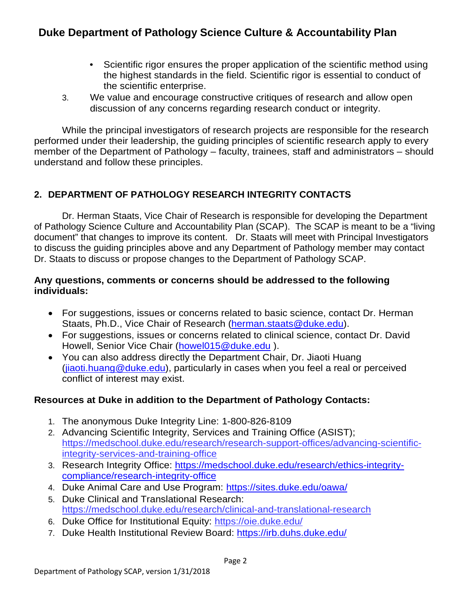- Scientific rigor ensures the proper application of the scientific method using the highest standards in the field. Scientific rigor is essential to conduct of the scientific enterprise.
- 3. We value and encourage constructive critiques of research and allow open discussion of any concerns regarding research conduct or integrity.

While the principal investigators of research projects are responsible for the research performed under their leadership, the guiding principles of scientific research apply to every member of the Department of Pathology – faculty, trainees, staff and administrators – should understand and follow these principles.

### **2. DEPARTMENT OF PATHOLOGY RESEARCH INTEGRITY CONTACTS**

Dr. Herman Staats, Vice Chair of Research is responsible for developing the Department of Pathology Science Culture and Accountability Plan (SCAP). The SCAP is meant to be a "living document" that changes to improve its content. Dr. Staats will meet with Principal Investigators to discuss the guiding principles above and any Department of Pathology member may contact Dr. Staats to discuss or propose changes to the Department of Pathology SCAP.

#### **Any questions, comments or concerns should be addressed to the following individuals:**

- For suggestions, issues or concerns related to basic science, contact Dr. Herman Staats, Ph.D., Vice Chair of Research (herman.staats@duke.edu).
- For suggestions, issues or concerns related to clinical science, contact Dr. David Howell, Senior Vice Chair [\(howel015@duke.edu](mailto:howel015@duke.edu) ).
- You can also address directly the Department Chair, Dr. Jiaoti Huang [\(jiaoti.huang@duke.edu\)](mailto:jiaoti.huang@duke.edu), particularly in cases when you feel a real or perceived conflict of interest may exist.

### **Resources at Duke in addition to the Department of Pathology Contacts:**

- 1. The anonymous Duke Integrity Line: 1-800-826-8109
- 2. Advancing Scientific Integrity, Services and Training Office (ASIST); [https://medschool.duke.edu/research/research-support-offices/advancing-scientific](https://medschool.duke.edu/research/research-support-offices/advancing-scientific-integrity-services-and-training-office)[integrity-services-and-training-office](https://medschool.duke.edu/research/research-support-offices/advancing-scientific-integrity-services-and-training-office)
- 3. Research Integrity Office: [https://medschool.duke.edu/research/ethics-integrity](https://medschool.duke.edu/research/ethics-integrity-compliance/research-integrity-office)[compliance/research-integrity-office](https://medschool.duke.edu/research/ethics-integrity-compliance/research-integrity-office)
- 4. Duke Animal Care and Use Program: <https://sites.duke.edu/oawa/>
- 5. Duke Clinical and Translational Research: https://medschool.duke.edu/research/clinical-and-translational-research
- 6. Duke Office for Institutional Equity: <https://oie.duke.edu/>
- 7. Duke Health Institutional Review Board:<https://irb.duhs.duke.edu/>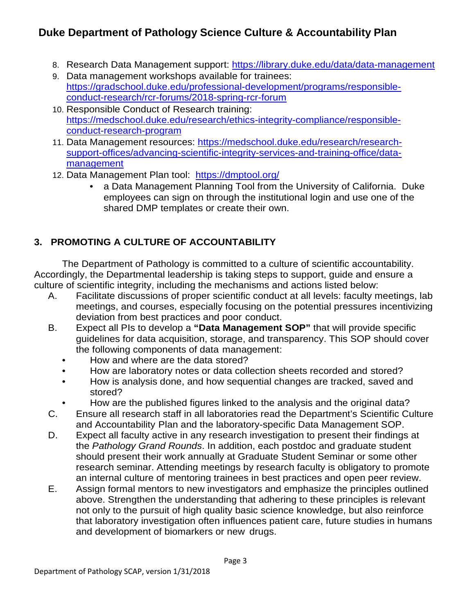- 8. Research Data Management support:<https://library.duke.edu/data/data-management>
- 9. Data management workshops available for trainees: [https://gradschool.duke.edu/professional-development/programs/responsible](https://gradschool.duke.edu/professional-development/programs/responsible-conduct-research/rcr-forums/2018-spring-rcr-forum)[conduct-research/rcr-forums/2018-spring-rcr-forum](https://gradschool.duke.edu/professional-development/programs/responsible-conduct-research/rcr-forums/2018-spring-rcr-forum)
- 10. Responsible Conduct of Research training: [https://medschool.duke.edu/research/ethics-integrity-compliance/responsible](https://medschool.duke.edu/research/ethics-integrity-compliance/responsible-conduct-research-program)[conduct-research-program](https://medschool.duke.edu/research/ethics-integrity-compliance/responsible-conduct-research-program)
- 11. Data Management resources: [https://medschool.duke.edu/research/research](https://medschool.duke.edu/research/research-support-offices/advancing-scientific-integrity-services-and-training-office/data-management)[support-offices/advancing-scientific-integrity-services-and-training-office/data](https://medschool.duke.edu/research/research-support-offices/advancing-scientific-integrity-services-and-training-office/data-management)[management](https://medschool.duke.edu/research/research-support-offices/advancing-scientific-integrity-services-and-training-office/data-management)
- 12. Data Management Plan tool: <https://dmptool.org/>
	- a Data Management Planning Tool from the University of California. Duke employees can sign on through the institutional login and use one of the shared DMP templates or create their own.

### **3. PROMOTING A CULTURE OF ACCOUNTABILITY**

The Department of Pathology is committed to a culture of scientific accountability. Accordingly, the Departmental leadership is taking steps to support, guide and ensure a culture of scientific integrity, including the mechanisms and actions listed below:

- A. Facilitate discussions of proper scientific conduct at all levels: faculty meetings, lab meetings, and courses, especially focusing on the potential pressures incentivizing deviation from best practices and poor conduct.
- B. Expect all PIs to develop a **"Data Management SOP"** that will provide specific guidelines for data acquisition, storage, and transparency. This SOP should cover the following components of data management:
	- How and where are the data stored?
	- How are laboratory notes or data collection sheets recorded and stored?
	- How is analysis done, and how sequential changes are tracked, saved and stored?
	- How are the published figures linked to the analysis and the original data?
- C. Ensure all research staff in all laboratories read the Department's Scientific Culture and Accountability Plan and the laboratory-specific Data Management SOP.
- D. Expect all faculty active in any research investigation to present their findings at the *Pathology Grand Rounds*. In addition, each postdoc and graduate student should present their work annually at Graduate Student Seminar or some other research seminar. Attending meetings by research faculty is obligatory to promote an internal culture of mentoring trainees in best practices and open peer review.
- E. Assign formal mentors to new investigators and emphasize the principles outlined above. Strengthen the understanding that adhering to these principles is relevant not only to the pursuit of high quality basic science knowledge, but also reinforce that laboratory investigation often influences patient care, future studies in humans and development of biomarkers or new drugs.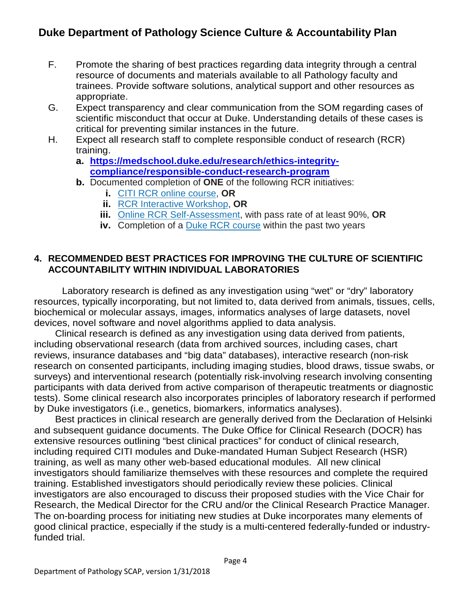- F. Promote the sharing of best practices regarding data integrity through a central resource of documents and materials available to all Pathology faculty and trainees. Provide software solutions, analytical support and other resources as appropriate.
- G. Expect transparency and clear communication from the SOM regarding cases of scientific misconduct that occur at Duke. Understanding details of these cases is critical for preventing similar instances in the future.
- H. Expect all research staff to complete responsible conduct of research (RCR) training.
	- **a. [https://medschool.duke.edu/research/ethics-integrity](https://medschool.duke.edu/research/ethics-integrity-compliance/responsible-conduct-research-program)[compliance/responsible-conduct-research-program](https://medschool.duke.edu/research/ethics-integrity-compliance/responsible-conduct-research-program)**
	- **b.** Documented completion of **ONE** of the following RCR initiatives:
		- **i.** CITI RCR [online course,](https://medschool.duke.edu/research/responsible-conduct-research-program/online-citi-rcr) **OR**
		- **ii.** [RCR Interactive Workshop,](https://medschool.duke.edu/research/responsible-conduct-research-program/person-rcr-workshops) **OR**
		- **iii.** Online RCR [Self-Assessment,](https://medschool.duke.edu/research/responsible-conduct-research-program/online-rcr-self-assessment) with pass rate of at least 90%, **OR**
		- **iv.** Completion of a Duke RCR [course](https://medschool.duke.edu/research/responsible-conduct-research-program/rcr-training-junior-and-non-faculty) within the past two years

#### **4. RECOMMENDED BEST PRACTICES FOR IMPROVING THE CULTURE OF SCIENTIFIC ACCOUNTABILITY WITHIN INDIVIDUAL LABORATORIES**

Laboratory research is defined as any investigation using "wet" or "dry" laboratory resources, typically incorporating, but not limited to, data derived from animals, tissues, cells, biochemical or molecular assays, images, informatics analyses of large datasets, novel devices, novel software and novel algorithms applied to data analysis.

Clinical research is defined as any investigation using data derived from patients, including observational research (data from archived sources, including cases, chart reviews, insurance databases and "big data" databases), interactive research (non-risk research on consented participants, including imaging studies, blood draws, tissue swabs, or surveys) and interventional research (potentially risk-involving research involving consenting participants with data derived from active comparison of therapeutic treatments or diagnostic tests). Some clinical research also incorporates principles of laboratory research if performed by Duke investigators (i.e., genetics, biomarkers, informatics analyses).

Best practices in clinical research are generally derived from the Declaration of Helsinki and subsequent guidance documents. The Duke Office for Clinical Research (DOCR) has extensive resources outlining "best clinical practices" for conduct of clinical research, including required CITI modules and Duke-mandated Human Subject Research (HSR) training, as well as many other web-based educational modules. All new clinical investigators should familiarize themselves with these resources and complete the required training. Established investigators should periodically review these policies. Clinical investigators are also encouraged to discuss their proposed studies with the Vice Chair for Research, the Medical Director for the CRU and/or the Clinical Research Practice Manager. The on-boarding process for initiating new studies at Duke incorporates many elements of good clinical practice, especially if the study is a multi-centered federally-funded or industryfunded trial.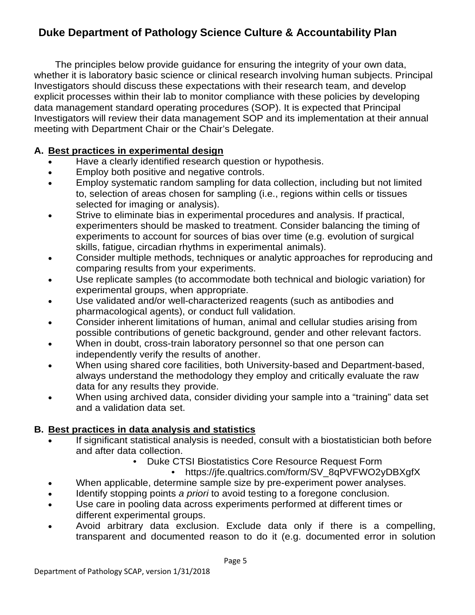The principles below provide guidance for ensuring the integrity of your own data, whether it is laboratory basic science or clinical research involving human subjects. Principal Investigators should discuss these expectations with their research team, and develop explicit processes within their lab to monitor compliance with these policies by developing data management standard operating procedures (SOP). It is expected that Principal Investigators will review their data management SOP and its implementation at their annual meeting with Department Chair or the Chair's Delegate.

### **A. Best practices in experimental design**

- Have a clearly identified research question or hypothesis.
- Employ both positive and negative controls.
- Employ systematic random sampling for data collection, including but not limited to, selection of areas chosen for sampling (i.e., regions within cells or tissues selected for imaging or analysis).
- Strive to eliminate bias in experimental procedures and analysis. If practical, experimenters should be masked to treatment. Consider balancing the timing of experiments to account for sources of bias over time (e.g. evolution of surgical skills, fatigue, circadian rhythms in experimental animals).
- Consider multiple methods, techniques or analytic approaches for reproducing and comparing results from your experiments.
- Use replicate samples (to accommodate both technical and biologic variation) for experimental groups, when appropriate.
- Use validated and/or well-characterized reagents (such as antibodies and pharmacological agents), or conduct full validation.
- Consider inherent limitations of human, animal and cellular studies arising from possible contributions of genetic background, gender and other relevant factors.
- When in doubt, cross-train laboratory personnel so that one person can independently verify the results of another.
- When using shared core facilities, both University-based and Department-based, always understand the methodology they employ and critically evaluate the raw data for any results they provide.
- When using archived data, consider dividing your sample into a "training" data set and a validation data set.

### **B. Best practices in data analysis and statistics**

- If significant statistical analysis is needed, consult with a biostatistician both before and after data collection.
	- Duke CTSI Biostatistics Core Resource Request Form
		- https://jfe.qualtrics.com/form/SV\_8qPVFWO2yDBXgfX
- When applicable, determine sample size by pre-experiment power analyses.
- Identify stopping points *a priori* to avoid testing to a foregone conclusion.
- Use care in pooling data across experiments performed at different times or different experimental groups.
- Avoid arbitrary data exclusion. Exclude data only if there is a compelling, transparent and documented reason to do it (e.g. documented error in solution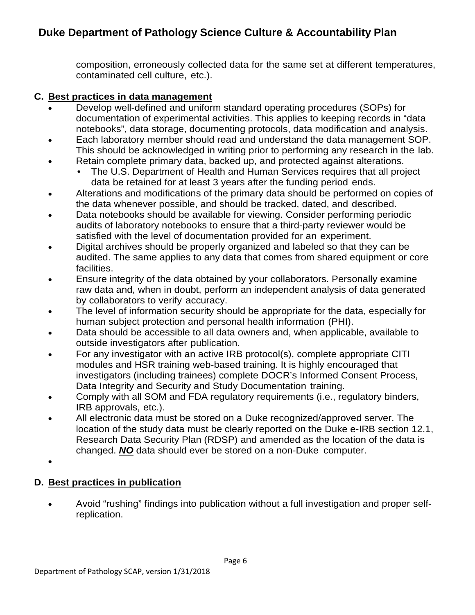composition, erroneously collected data for the same set at different temperatures, contaminated cell culture, etc.).

#### **C. Best practices in data management**

- Develop well-defined and uniform standard operating procedures (SOPs) for documentation of experimental activities. This applies to keeping records in "data notebooks", data storage, documenting protocols, data modification and analysis.
- Each laboratory member should read and understand the data management SOP. This should be acknowledged in writing prior to performing any research in the lab.
- Retain complete primary data, backed up, and protected against alterations.
	- The U.S. Department of Health and Human Services requires that all project data be retained for at least 3 years after the funding period ends.
- Alterations and modifications of the primary data should be performed on copies of the data whenever possible, and should be tracked, dated, and described.
- Data notebooks should be available for viewing. Consider performing periodic audits of laboratory notebooks to ensure that a third-party reviewer would be satisfied with the level of documentation provided for an experiment.
- Digital archives should be properly organized and labeled so that they can be audited. The same applies to any data that comes from shared equipment or core facilities.
- Ensure integrity of the data obtained by your collaborators. Personally examine raw data and, when in doubt, perform an independent analysis of data generated by collaborators to verify accuracy.
- The level of information security should be appropriate for the data, especially for human subject protection and personal health information (PHI).
- Data should be accessible to all data owners and, when applicable, available to outside investigators after publication.
- For any investigator with an active IRB protocol(s), complete appropriate CITI modules and HSR training web-based training. It is highly encouraged that investigators (including trainees) complete DOCR's Informed Consent Process, Data Integrity and Security and Study Documentation training.
- Comply with all SOM and FDA regulatory requirements (i.e., regulatory binders, IRB approvals, etc.).
- All electronic data must be stored on a Duke recognized/approved server. The location of the study data must be clearly reported on the Duke e-IRB section 12.1, Research Data Security Plan (RDSP) and amended as the location of the data is changed. *NO* data should ever be stored on a non-Duke computer.

•

### **D. Best practices in publication**

• Avoid "rushing" findings into publication without a full investigation and proper selfreplication.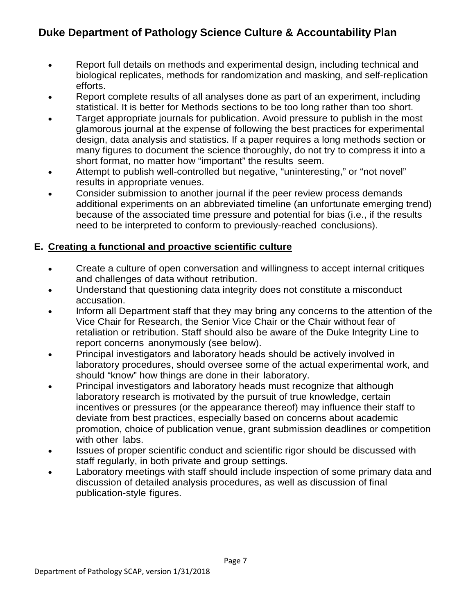- Report full details on methods and experimental design, including technical and biological replicates, methods for randomization and masking, and self-replication efforts.
- Report complete results of all analyses done as part of an experiment, including statistical. It is better for Methods sections to be too long rather than too short.
- Target appropriate journals for publication. Avoid pressure to publish in the most glamorous journal at the expense of following the best practices for experimental design, data analysis and statistics. If a paper requires a long methods section or many figures to document the science thoroughly, do not try to compress it into a short format, no matter how "important" the results seem.
- Attempt to publish well-controlled but negative, "uninteresting," or "not novel" results in appropriate venues.
- Consider submission to another journal if the peer review process demands additional experiments on an abbreviated timeline (an unfortunate emerging trend) because of the associated time pressure and potential for bias (i.e., if the results need to be interpreted to conform to previously-reached conclusions).

### **E. Creating a functional and proactive scientific culture**

- Create a culture of open conversation and willingness to accept internal critiques and challenges of data without retribution.
- Understand that questioning data integrity does not constitute a misconduct accusation.
- Inform all Department staff that they may bring any concerns to the attention of the Vice Chair for Research, the Senior Vice Chair or the Chair without fear of retaliation or retribution. Staff should also be aware of the Duke Integrity Line to report concerns anonymously (see below).
- Principal investigators and laboratory heads should be actively involved in laboratory procedures, should oversee some of the actual experimental work, and should "know" how things are done in their laboratory.
- Principal investigators and laboratory heads must recognize that although laboratory research is motivated by the pursuit of true knowledge, certain incentives or pressures (or the appearance thereof) may influence their staff to deviate from best practices, especially based on concerns about academic promotion, choice of publication venue, grant submission deadlines or competition with other labs.
- Issues of proper scientific conduct and scientific rigor should be discussed with staff regularly, in both private and group settings.
- Laboratory meetings with staff should include inspection of some primary data and discussion of detailed analysis procedures, as well as discussion of final publication-style figures.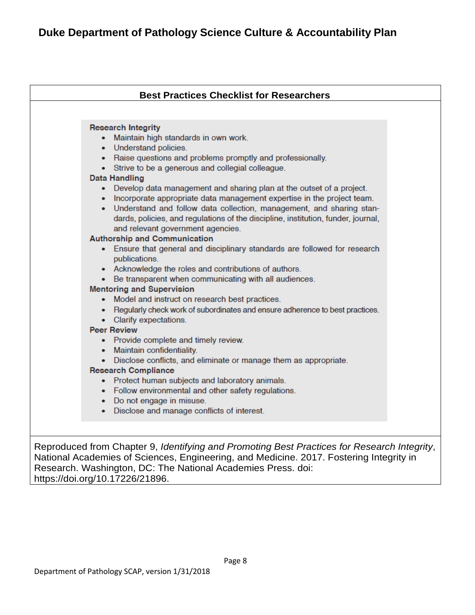| <b>Best Practices Checklist for Researchers</b>                                                                                                                                                                                                                                                                                                                                                                                                                                                                                                                                                                                                                                                                                                                                                                  |
|------------------------------------------------------------------------------------------------------------------------------------------------------------------------------------------------------------------------------------------------------------------------------------------------------------------------------------------------------------------------------------------------------------------------------------------------------------------------------------------------------------------------------------------------------------------------------------------------------------------------------------------------------------------------------------------------------------------------------------------------------------------------------------------------------------------|
|                                                                                                                                                                                                                                                                                                                                                                                                                                                                                                                                                                                                                                                                                                                                                                                                                  |
| <b>Research Integrity</b><br>• Maintain high standards in own work.<br>• Understand policies.<br>• Raise questions and problems promptly and professionally.<br>• Strive to be a generous and collegial colleague.<br><b>Data Handling</b><br>• Develop data management and sharing plan at the outset of a project.<br>• Incorporate appropriate data management expertise in the project team.<br>• Understand and follow data collection, management, and sharing stan-<br>dards, policies, and regulations of the discipline, institution, funder, journal,<br>and relevant government agencies.<br><b>Authorship and Communication</b>                                                                                                                                                                      |
| • Ensure that general and disciplinary standards are followed for research<br>publications.<br>• Acknowledge the roles and contributions of authors.<br>• Be transparent when communicating with all audiences.<br><b>Mentoring and Supervision</b><br>• Model and instruct on research best practices.<br>• Regularly check work of subordinates and ensure adherence to best practices.<br>• Clarify expectations.<br><b>Peer Review</b><br>• Provide complete and timely review.<br>• Maintain confidentiality.<br>• Disclose conflicts, and eliminate or manage them as appropriate.<br><b>Research Compliance</b><br>• Protect human subjects and laboratory animals.<br>• Follow environmental and other safety regulations.<br>• Do not engage in misuse.<br>• Disclose and manage conflicts of interest. |

Reproduced from Chapter 9, *Identifying and Promoting Best Practices for Research Integrity*, National Academies of Sciences, Engineering, and Medicine. 2017. Fostering Integrity in Research. Washington, DC: The National Academies Press. doi: https://doi.org/10.17226/21896.